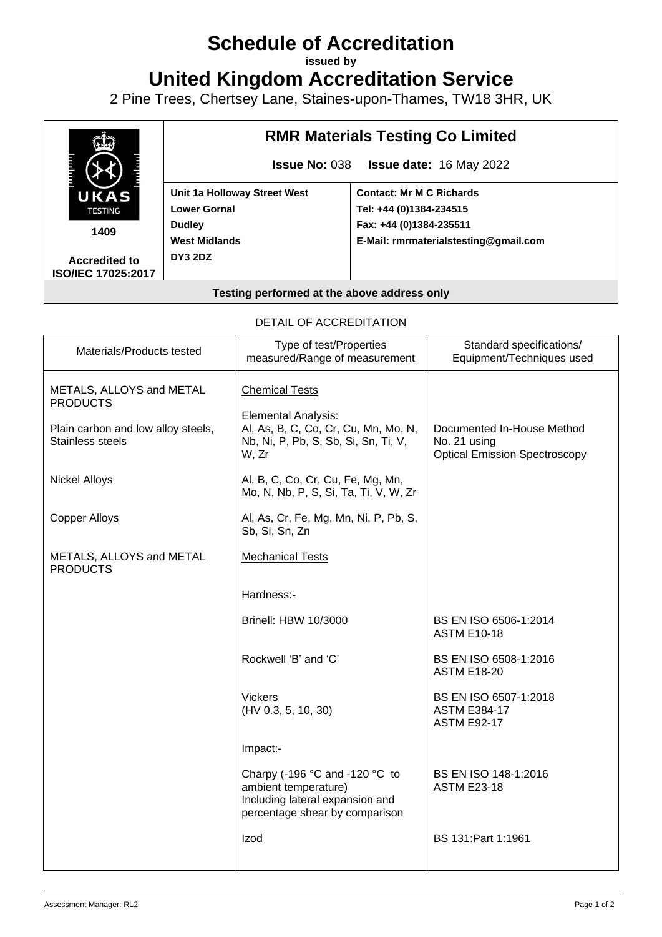## **Schedule of Accreditation**

**issued by**

**United Kingdom Accreditation Service**

2 Pine Trees, Chertsey Lane, Staines-upon-Thames, TW18 3HR, UK



## DETAIL OF ACCREDITATION

| Materials/Products tested                                                                             | Type of test/Properties<br>measured/Range of measurement                                                                                        | Standard specifications/<br>Equipment/Techniques used              |
|-------------------------------------------------------------------------------------------------------|-------------------------------------------------------------------------------------------------------------------------------------------------|--------------------------------------------------------------------|
| METALS, ALLOYS and METAL<br><b>PRODUCTS</b><br>Plain carbon and low alloy steels,<br>Stainless steels | <b>Chemical Tests</b><br><b>Elemental Analysis:</b><br>Al, As, B, C, Co, Cr, Cu, Mn, Mo, N,<br>Nb, Ni, P, Pb, S, Sb, Si, Sn, Ti, V,             | Documented In-House Method<br>No. 21 using                         |
|                                                                                                       | W, Zr                                                                                                                                           | <b>Optical Emission Spectroscopy</b>                               |
| <b>Nickel Alloys</b>                                                                                  | Al, B, C, Co, Cr, Cu, Fe, Mg, Mn,<br>Mo, N, Nb, P, S, Si, Ta, Ti, V, W, Zr                                                                      |                                                                    |
| <b>Copper Alloys</b>                                                                                  | Al, As, Cr, Fe, Mg, Mn, Ni, P, Pb, S,<br>Sb, Si, Sn, Zn                                                                                         |                                                                    |
| METALS, ALLOYS and METAL<br><b>PRODUCTS</b>                                                           | <b>Mechanical Tests</b>                                                                                                                         |                                                                    |
|                                                                                                       | Hardness:-                                                                                                                                      |                                                                    |
|                                                                                                       | <b>Brinell: HBW 10/3000</b>                                                                                                                     | BS EN ISO 6506-1:2014<br><b>ASTM E10-18</b>                        |
|                                                                                                       | Rockwell 'B' and 'C'                                                                                                                            | BS EN ISO 6508-1:2016<br><b>ASTM E18-20</b>                        |
|                                                                                                       | <b>Vickers</b><br>(HV 0.3, 5, 10, 30)                                                                                                           | BS EN ISO 6507-1:2018<br><b>ASTM E384-17</b><br><b>ASTM E92-17</b> |
|                                                                                                       | Impact:-                                                                                                                                        |                                                                    |
|                                                                                                       | Charpy (-196 $^{\circ}$ C and -120 $^{\circ}$ C to<br>ambient temperature)<br>Including lateral expansion and<br>percentage shear by comparison | BS EN ISO 148-1:2016<br><b>ASTM E23-18</b>                         |
|                                                                                                       | Izod                                                                                                                                            | BS 131: Part 1: 1961                                               |